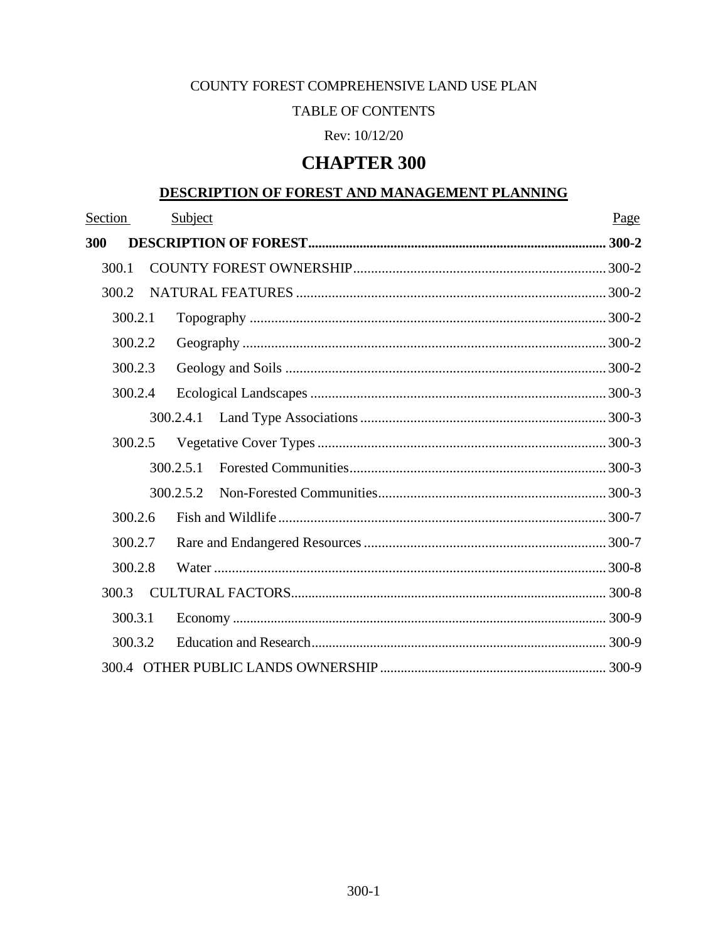## COUNTY FOREST COMPREHENSIVE LAND USE PLAN

## **TABLE OF CONTENTS**

## Rev: 10/12/20

# **CHAPTER 300**

## DESCRIPTION OF FOREST AND MANAGEMENT PLANNING

| Section |  | Subject   | Page |  |  |  |
|---------|--|-----------|------|--|--|--|
| 300     |  |           |      |  |  |  |
| 300.1   |  |           |      |  |  |  |
| 300.2   |  |           |      |  |  |  |
| 300.2.1 |  |           |      |  |  |  |
| 300.2.2 |  |           |      |  |  |  |
| 300.2.3 |  |           |      |  |  |  |
| 300.2.4 |  |           |      |  |  |  |
|         |  | 300.2.4.1 |      |  |  |  |
| 300.2.5 |  |           |      |  |  |  |
|         |  | 300.2.5.1 |      |  |  |  |
|         |  | 300.2.5.2 |      |  |  |  |
| 300.2.6 |  |           |      |  |  |  |
| 300.2.7 |  |           |      |  |  |  |
| 300.2.8 |  |           |      |  |  |  |
| 300.3   |  |           |      |  |  |  |
| 300.3.1 |  |           |      |  |  |  |
| 300.3.2 |  |           |      |  |  |  |
|         |  |           |      |  |  |  |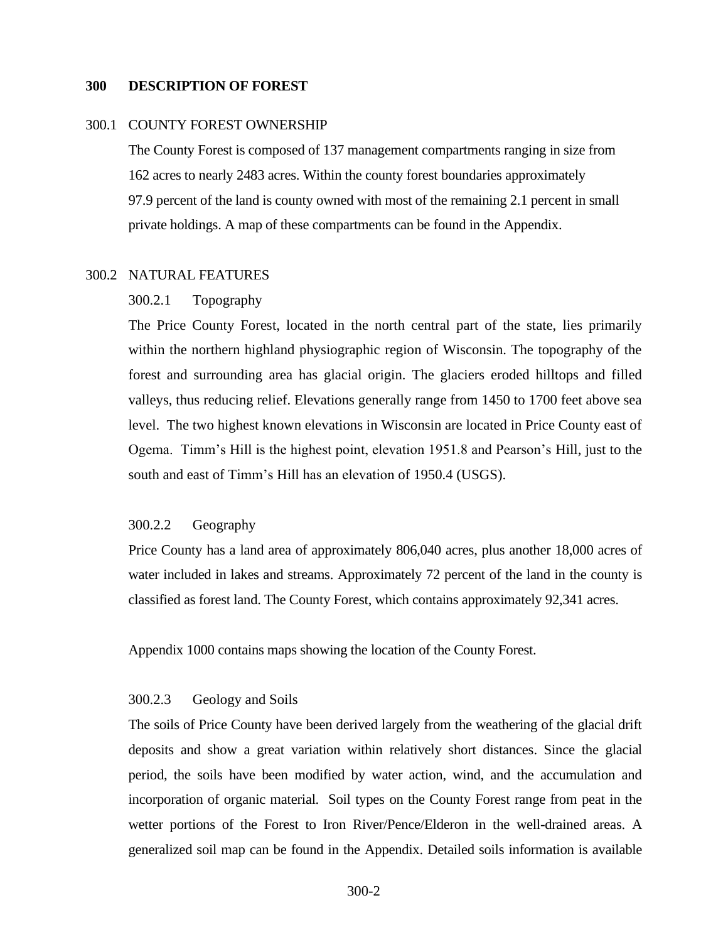### <span id="page-1-0"></span>**300 DESCRIPTION OF FOREST**

#### <span id="page-1-1"></span>300.1 COUNTY FOREST OWNERSHIP

The County Forest is composed of 137 management compartments ranging in size from 162 acres to nearly 2483 acres. Within the county forest boundaries approximately 97.9 percent of the land is county owned with most of the remaining 2.1 percent in small private holdings. A map of these compartments can be found in the Appendix.

#### <span id="page-1-2"></span>300.2 NATURAL FEATURES

## 300.2.1 Topography

The Price County Forest, located in the north central part of the state, lies primarily within the northern highland physiographic region of Wisconsin. The topography of the forest and surrounding area has glacial origin. The glaciers eroded hilltops and filled valleys, thus reducing relief. Elevations generally range from 1450 to 1700 feet above sea level. The two highest known elevations in Wisconsin are located in Price County east of Ogema. Timm's Hill is the highest point, elevation 1951.8 and Pearson's Hill, just to the south and east of Timm's Hill has an elevation of 1950.4 (USGS).

### <span id="page-1-3"></span>300.2.2 Geography

Price County has a land area of approximately 806,040 acres, plus another 18,000 acres of water included in lakes and streams. Approximately 72 percent of the land in the county is classified as forest land. The County Forest, which contains approximately 92,341 acres.

Appendix 1000 contains maps showing the location of the County Forest.

## <span id="page-1-4"></span>300.2.3 Geology and Soils

The soils of Price County have been derived largely from the weathering of the glacial drift deposits and show a great variation within relatively short distances. Since the glacial period, the soils have been modified by water action, wind, and the accumulation and incorporation of organic material. Soil types on the County Forest range from peat in the wetter portions of the Forest to Iron River/Pence/Elderon in the well-drained areas. A generalized soil map can be found in the Appendix. Detailed soils information is available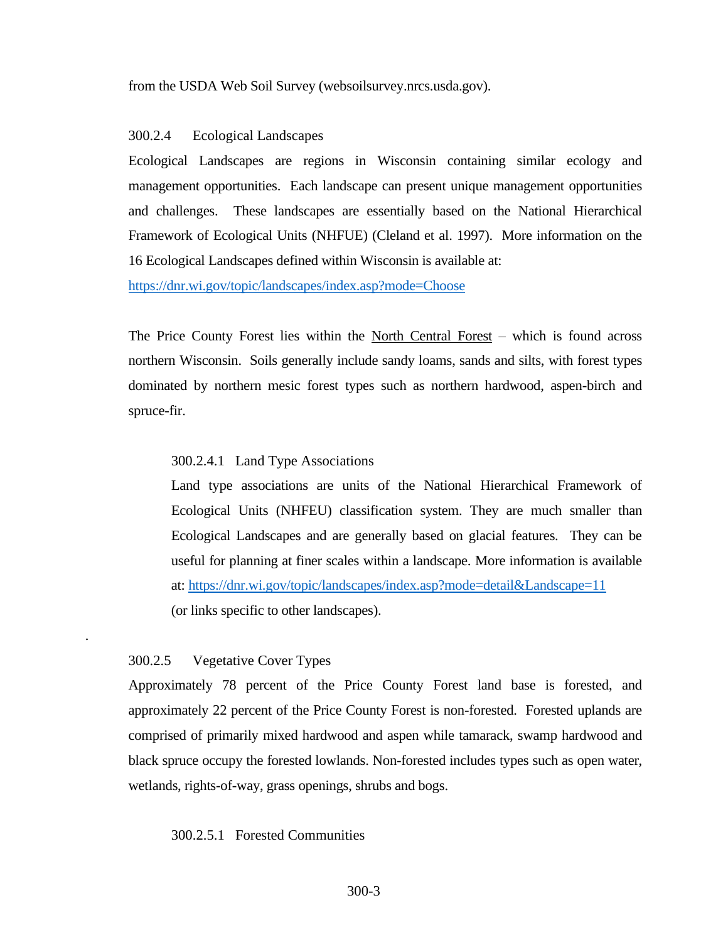from the USDA Web Soil Survey (websoilsurvey.nrcs.usda.gov).

#### <span id="page-2-0"></span>300.2.4 Ecological Landscapes

Ecological Landscapes are regions in Wisconsin containing similar ecology and management opportunities. Each landscape can present unique management opportunities and challenges. These landscapes are essentially based on the National Hierarchical Framework of Ecological Units (NHFUE) (Cleland et al. 1997). More information on the 16 Ecological Landscapes defined within Wisconsin is available at:

<https://dnr.wi.gov/topic/landscapes/index.asp?mode=Choose>

The Price County Forest lies within the North Central Forest – which is found across northern Wisconsin. Soils generally include sandy loams, sands and silts, with forest types dominated by northern mesic forest types such as northern hardwood, aspen-birch and spruce-fir.

#### <span id="page-2-1"></span>300.2.4.1 Land Type Associations

Land type associations are units of the National Hierarchical Framework of Ecological Units (NHFEU) classification system. They are much smaller than Ecological Landscapes and are generally based on glacial features. They can be useful for planning at finer scales within a landscape. More information is available at:<https://dnr.wi.gov/topic/landscapes/index.asp?mode=detail&Landscape=11> (or links specific to other landscapes).

#### 300.2.5 Vegetative Cover Types

<span id="page-2-2"></span>*.* 

Approximately 78 percent of the Price County Forest land base is forested, and approximately 22 percent of the Price County Forest is non-forested. Forested uplands are comprised of primarily mixed hardwood and aspen while tamarack, swamp hardwood and black spruce occupy the forested lowlands. Non-forested includes types such as open water, wetlands, rights-of-way, grass openings, shrubs and bogs.

#### 300.2.5.1 Forested Communities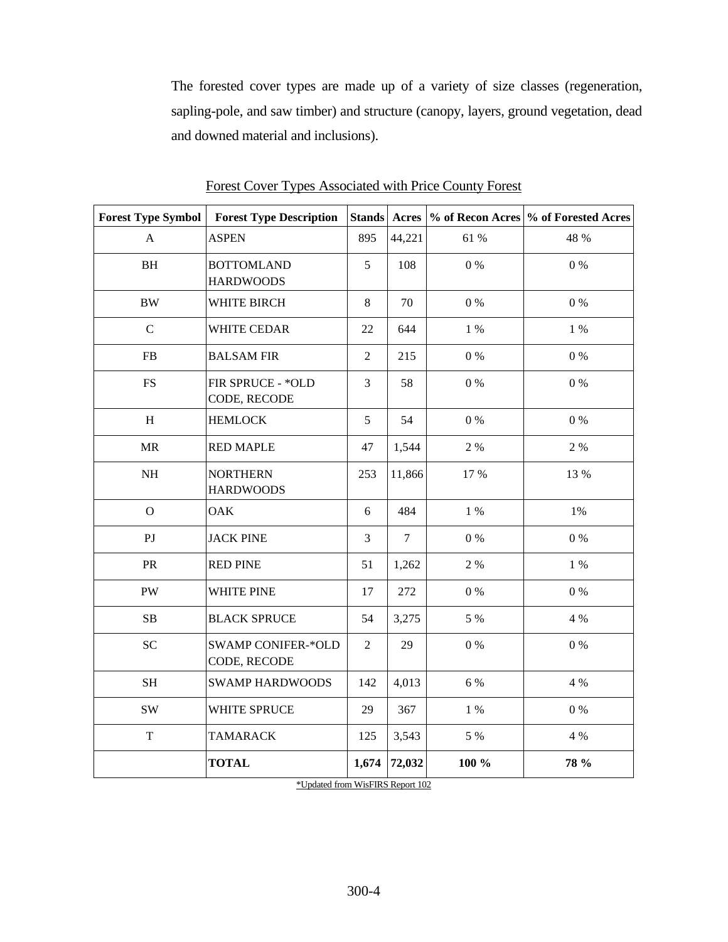The forested cover types are made up of a variety of size classes (regeneration, sapling-pole, and saw timber) and structure (canopy, layers, ground vegetation, dead and downed material and inclusions).

| <b>Forest Type Symbol</b> | <b>Forest Type Description</b>            |                |                |         | Stands Acres \% of Recon Acres \% of Forested Acres |
|---------------------------|-------------------------------------------|----------------|----------------|---------|-----------------------------------------------------|
| $\mathbf{A}$              | <b>ASPEN</b>                              | 895            | 44,221         | 61 %    | 48 %                                                |
| $\rm BH$                  | <b>BOTTOMLAND</b><br><b>HARDWOODS</b>     | 5              | 108            | $0\ \%$ | $0\%$                                               |
| $\rm BW$                  | WHITE BIRCH                               | $8\,$          | 70             | $0\ \%$ | $0\ \%$                                             |
| $\mathbf C$               | WHITE CEDAR                               | 22             | 644            | $1\%$   | $1\%$                                               |
| ${\rm FB}$                | <b>BALSAM FIR</b>                         | $\overline{2}$ | 215            | $0\ \%$ | $0\ \%$                                             |
| <b>FS</b>                 | FIR SPRUCE - * OLD<br>CODE, RECODE        | $\overline{3}$ | 58             | $0\ \%$ | $0\ \%$                                             |
| $\, {\rm H}$              | <b>HEMLOCK</b>                            | 5              | 54             | $0\ \%$ | $0\%$                                               |
| MR                        | <b>RED MAPLE</b>                          | 47             | 1,544          | 2 %     | 2 %                                                 |
| $\rm NH$                  | <b>NORTHERN</b><br><b>HARDWOODS</b>       | 253            | 11,866         | 17 %    | 13 %                                                |
| $\overline{O}$            | <b>OAK</b>                                | 6              | 484            | $1\ \%$ | $1\%$                                               |
| P <sub>J</sub>            | <b>JACK PINE</b>                          | $\overline{3}$ | $\overline{7}$ | $0\ \%$ | $0\ \%$                                             |
| PR                        | <b>RED PINE</b>                           | 51             | 1,262          | 2 %     | 1 %                                                 |
| ${\rm PW}$                | WHITE PINE                                | 17             | 272            | $0\ \%$ | $0\%$                                               |
| ${\bf SB}$                | <b>BLACK SPRUCE</b>                       | 54             | 3,275          | 5 %     | 4 %                                                 |
| <b>SC</b>                 | <b>SWAMP CONIFER-*OLD</b><br>CODE, RECODE | $\overline{2}$ | 29             | $0\ \%$ | $0\ \%$                                             |
| $\operatorname{SH}$       | <b>SWAMP HARDWOODS</b>                    | 142            | 4,013          | 6 %     | 4 %                                                 |
| $\mathrm{SW}$             | WHITE SPRUCE                              | 29             | 367            | $1\ \%$ | $0\ \%$                                             |
| $\mathbf T$               | <b>TAMARACK</b>                           | 125            | 3,543          | 5 %     | 4 %                                                 |
|                           | <b>TOTAL</b>                              | 1,674          | 72,032         | 100 %   | 78 %                                                |

Forest Cover Types Associated with Price County Forest

WisFIRS Report 1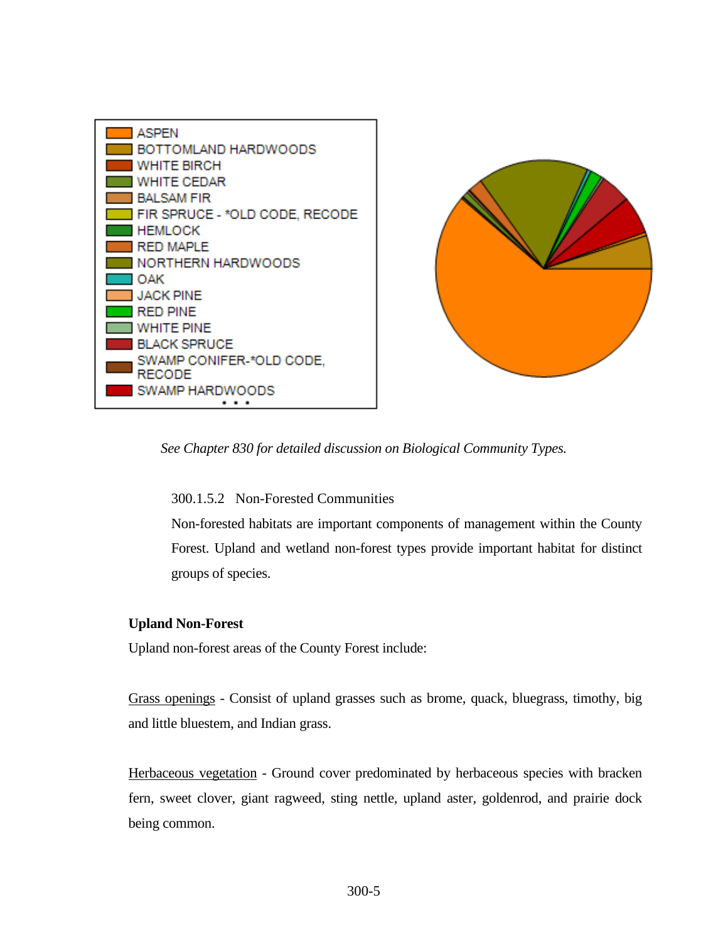



*See Chapter 830 for detailed discussion on Biological Community Types.*

300.1.5.2 Non-Forested Communities

Non-forested habitats are important components of management within the County Forest. Upland and wetland non-forest types provide important habitat for distinct groups of species.

## **Upland Non-Forest**

Upland non-forest areas of the County Forest include:

Grass openings - Consist of upland grasses such as brome, quack, bluegrass, timothy, big and little bluestem, and Indian grass.

Herbaceous vegetation - Ground cover predominated by herbaceous species with bracken fern, sweet clover, giant ragweed, sting nettle, upland aster, goldenrod, and prairie dock being common.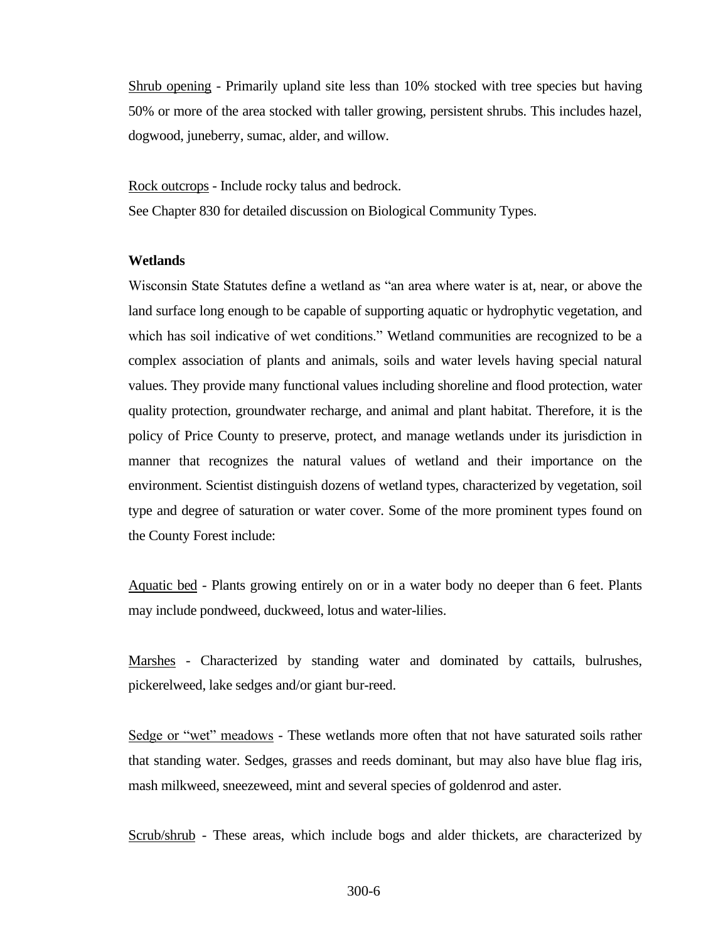Shrub opening - Primarily upland site less than 10% stocked with tree species but having 50% or more of the area stocked with taller growing, persistent shrubs. This includes hazel, dogwood, juneberry, sumac, alder, and willow.

Rock outcrops - Include rocky talus and bedrock.

See Chapter 830 for detailed discussion on Biological Community Types.

### **Wetlands**

Wisconsin State Statutes define a wetland as "an area where water is at, near, or above the land surface long enough to be capable of supporting aquatic or hydrophytic vegetation, and which has soil indicative of wet conditions." Wetland communities are recognized to be a complex association of plants and animals, soils and water levels having special natural values. They provide many functional values including shoreline and flood protection, water quality protection, groundwater recharge, and animal and plant habitat. Therefore, it is the policy of Price County to preserve, protect, and manage wetlands under its jurisdiction in manner that recognizes the natural values of wetland and their importance on the environment. Scientist distinguish dozens of wetland types, characterized by vegetation, soil type and degree of saturation or water cover. Some of the more prominent types found on the County Forest include:

Aquatic bed - Plants growing entirely on or in a water body no deeper than 6 feet. Plants may include pondweed, duckweed, lotus and water-lilies.

Marshes - Characterized by standing water and dominated by cattails, bulrushes, pickerelweed, lake sedges and/or giant bur-reed.

Sedge or "wet" meadows - These wetlands more often that not have saturated soils rather that standing water. Sedges, grasses and reeds dominant, but may also have blue flag iris, mash milkweed, sneezeweed, mint and several species of goldenrod and aster.

Scrub/shrub - These areas, which include bogs and alder thickets, are characterized by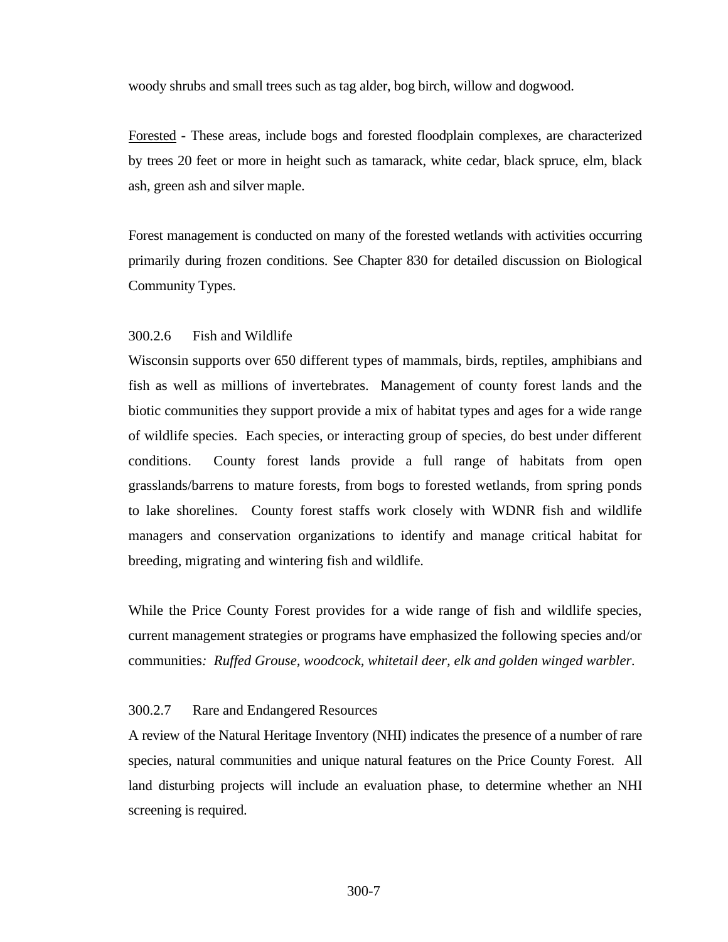woody shrubs and small trees such as tag alder, bog birch, willow and dogwood.

Forested - These areas, include bogs and forested floodplain complexes, are characterized by trees 20 feet or more in height such as tamarack, white cedar, black spruce, elm, black ash, green ash and silver maple.

Forest management is conducted on many of the forested wetlands with activities occurring primarily during frozen conditions. See Chapter 830 for detailed discussion on Biological Community Types.

### <span id="page-6-0"></span>300.2.6 Fish and Wildlife

Wisconsin supports over 650 different types of mammals, birds, reptiles, amphibians and fish as well as millions of invertebrates. Management of county forest lands and the biotic communities they support provide a mix of habitat types and ages for a wide range of wildlife species. Each species, or interacting group of species, do best under different conditions. County forest lands provide a full range of habitats from open grasslands/barrens to mature forests, from bogs to forested wetlands, from spring ponds to lake shorelines. County forest staffs work closely with WDNR fish and wildlife managers and conservation organizations to identify and manage critical habitat for breeding, migrating and wintering fish and wildlife.

While the Price County Forest provides for a wide range of fish and wildlife species, current management strategies or programs have emphasized the following species and/or communities*: Ruffed Grouse, woodcock, whitetail deer, elk and golden winged warbler.*

### <span id="page-6-1"></span>300.2.7 Rare and Endangered Resources

A review of the Natural Heritage Inventory (NHI) indicates the presence of a number of rare species, natural communities and unique natural features on the Price County Forest. All land disturbing projects will include an evaluation phase, to determine whether an NHI screening is required.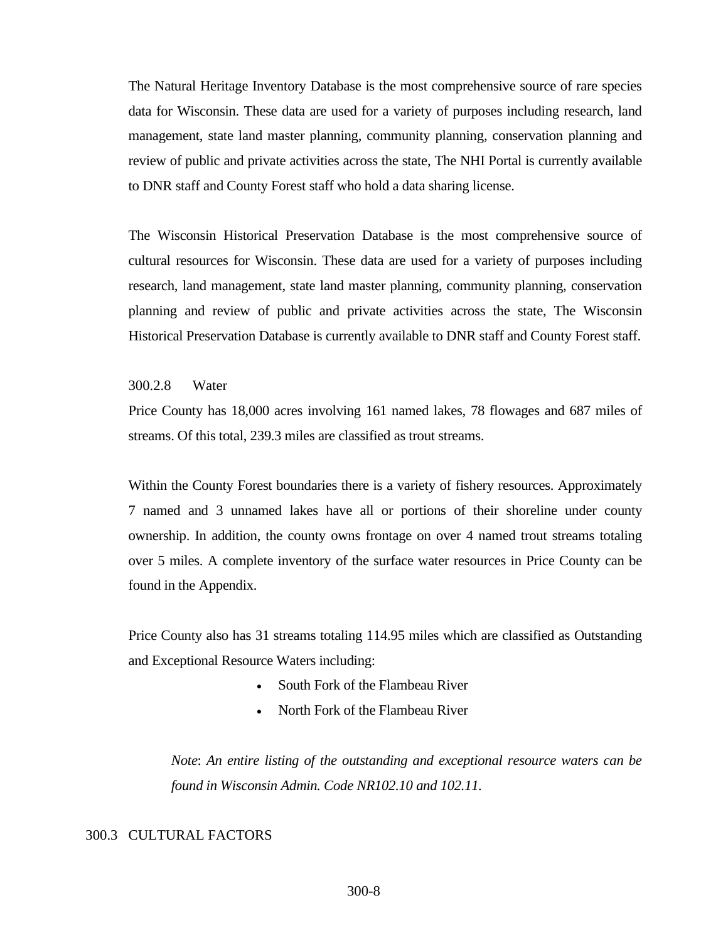The Natural Heritage Inventory Database is the most comprehensive source of rare species data for Wisconsin. These data are used for a variety of purposes including research, land management, state land master planning, community planning, conservation planning and review of public and private activities across the state, The NHI Portal is currently available to DNR staff and County Forest staff who hold a data sharing license.

The Wisconsin Historical Preservation Database is the most comprehensive source of cultural resources for Wisconsin. These data are used for a variety of purposes including research, land management, state land master planning, community planning, conservation planning and review of public and private activities across the state, The Wisconsin Historical Preservation Database is currently available to DNR staff and County Forest staff.

#### <span id="page-7-0"></span>300.2.8 Water

Price County has 18,000 acres involving 161 named lakes, 78 flowages and 687 miles of streams. Of this total, 239.3 miles are classified as trout streams.

Within the County Forest boundaries there is a variety of fishery resources. Approximately 7 named and 3 unnamed lakes have all or portions of their shoreline under county ownership. In addition, the county owns frontage on over 4 named trout streams totaling over 5 miles. A complete inventory of the surface water resources in Price County can be found in the Appendix.

Price County also has 31 streams totaling 114.95 miles which are classified as Outstanding and Exceptional Resource Waters including:

- South Fork of the Flambeau River
- North Fork of the Flambeau River

*Note*: *An entire listing of the outstanding and exceptional resource waters can be found in Wisconsin Admin. Code NR102.10 and 102.11.*

#### <span id="page-7-1"></span>300.3 CULTURAL FACTORS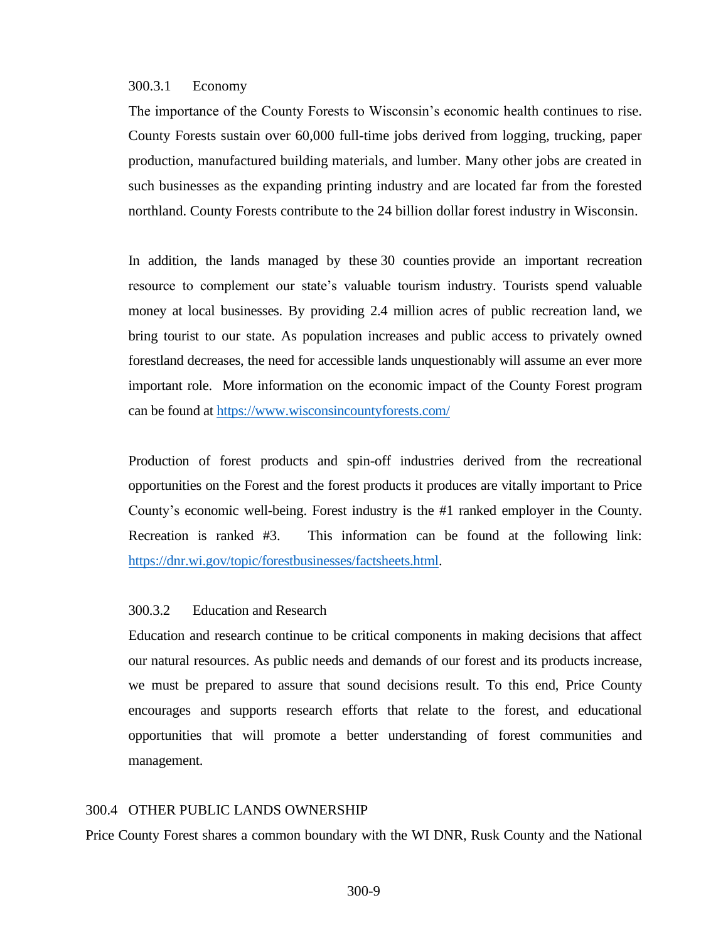#### <span id="page-8-0"></span>300.3.1 Economy

The importance of the County Forests to Wisconsin's economic health continues to rise. County Forests sustain over 60,000 full-time jobs derived from logging, trucking, paper production, manufactured building materials, and lumber. Many other jobs are created in such businesses as the expanding printing industry and are located far from the forested northland. County Forests contribute to the 24 billion dollar forest industry in Wisconsin.

In addition, the lands managed by these 30 counties provide an important recreation resource to complement our state's valuable tourism industry. Tourists spend valuable money at local businesses. By providing 2.4 million acres of public recreation land, we bring tourist to our state. As population increases and public access to privately owned forestland decreases, the need for accessible lands unquestionably will assume an ever more important role. More information on the economic impact of the County Forest program can be found at<https://www.wisconsincountyforests.com/>

Production of forest products and spin-off industries derived from the recreational opportunities on the Forest and the forest products it produces are vitally important to Price County's economic well-being. Forest industry is the #1 ranked employer in the County. Recreation is ranked #3. This information can be found at the following link: [https://dnr.wi.gov/topic/forestbusinesses/factsheets.html.](https://dnr.wi.gov/topic/forestbusinesses/factsheets.html)

### 300.3.2 Education and Research

Education and research continue to be critical components in making decisions that affect our natural resources. As public needs and demands of our forest and its products increase, we must be prepared to assure that sound decisions result. To this end, Price County encourages and supports research efforts that relate to the forest, and educational opportunities that will promote a better understanding of forest communities and management.

### <span id="page-8-1"></span>300.4 OTHER PUBLIC LANDS OWNERSHIP

Price County Forest shares a common boundary with the WI DNR, Rusk County and the National